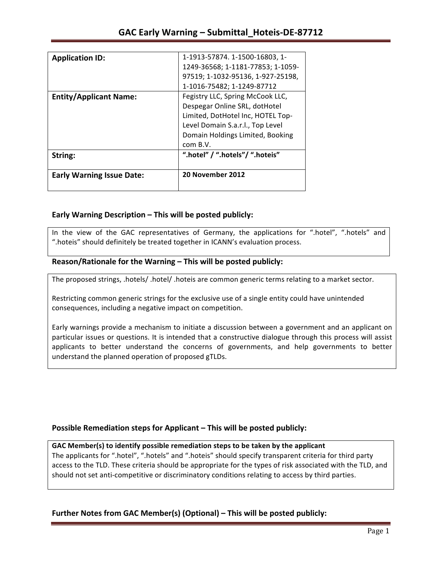| <b>Application ID:</b>           | 1-1913-57874. 1-1500-16803, 1-    |
|----------------------------------|-----------------------------------|
|                                  |                                   |
|                                  | 1249-36568; 1-1181-77853; 1-1059- |
|                                  | 97519; 1-1032-95136, 1-927-25198, |
|                                  | 1-1016-75482; 1-1249-87712        |
| <b>Entity/Applicant Name:</b>    | Fegistry LLC, Spring McCook LLC,  |
|                                  | Despegar Online SRL, dotHotel     |
|                                  | Limited, DotHotel Inc, HOTEL Top- |
|                                  | Level Domain S.a.r.l., Top Level  |
|                                  | Domain Holdings Limited, Booking  |
|                                  | com B.V.                          |
| String:                          | ".hotel" / ".hotels"/ ".hoteis"   |
| <b>Early Warning Issue Date:</b> | 20 November 2012                  |
|                                  |                                   |
|                                  |                                   |

### **Early Warning Description – This will be posted publicly:**

In the view of the GAC representatives of Germany, the applications for ".hotel", ".hotels" and ".hoteis" should definitely be treated together in ICANN's evaluation process.

### Reason/Rationale for the Warning – This will be posted publicly:

The proposed strings, .hotels/ .hotel/ .hoteis are common generic terms relating to a market sector.

Restricting common generic strings for the exclusive use of a single entity could have unintended consequences, including a negative impact on competition.

Early warnings provide a mechanism to initiate a discussion between a government and an applicant on particular issues or questions. It is intended that a constructive dialogue through this process will assist applicants to better understand the concerns of governments, and help governments to better understand the planned operation of proposed gTLDs.

### **Possible Remediation steps for Applicant – This will be posted publicly:**

### GAC Member(s) to identify possible remediation steps to be taken by the applicant

The applicants for ".hotel", ".hotels" and ".hoteis" should specify transparent criteria for third party access to the TLD. These criteria should be appropriate for the types of risk associated with the TLD, and should not set anti-competitive or discriminatory conditions relating to access by third parties.

### **Further Notes from GAC Member(s) (Optional)** – This will be posted publicly: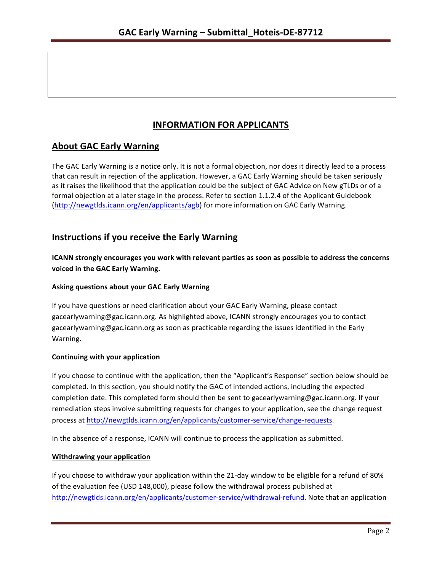# **INFORMATION FOR APPLICANTS**

# **About GAC Early Warning**

The GAC Early Warning is a notice only. It is not a formal objection, nor does it directly lead to a process that can result in rejection of the application. However, a GAC Early Warning should be taken seriously as it raises the likelihood that the application could be the subject of GAC Advice on New gTLDs or of a formal objection at a later stage in the process. Refer to section 1.1.2.4 of the Applicant Guidebook (http://newgtlds.icann.org/en/applicants/agb) for more information on GAC Early Warning.

## **Instructions if you receive the Early Warning**

**ICANN** strongly encourages you work with relevant parties as soon as possible to address the concerns **voiced in the GAC Early Warning.** 

### **Asking questions about your GAC Early Warning**

If you have questions or need clarification about your GAC Early Warning, please contact gacearlywarning@gac.icann.org. As highlighted above, ICANN strongly encourages you to contact gacearlywarning@gac.icann.org as soon as practicable regarding the issues identified in the Early Warning. 

### **Continuing with your application**

If you choose to continue with the application, then the "Applicant's Response" section below should be completed. In this section, you should notify the GAC of intended actions, including the expected completion date. This completed form should then be sent to gacearlywarning@gac.icann.org. If your remediation steps involve submitting requests for changes to your application, see the change request process at http://newgtlds.icann.org/en/applicants/customer-service/change-requests.

In the absence of a response, ICANN will continue to process the application as submitted.

### **Withdrawing your application**

If you choose to withdraw your application within the 21-day window to be eligible for a refund of 80% of the evaluation fee (USD 148,000), please follow the withdrawal process published at http://newgtlds.icann.org/en/applicants/customer-service/withdrawal-refund. Note that an application